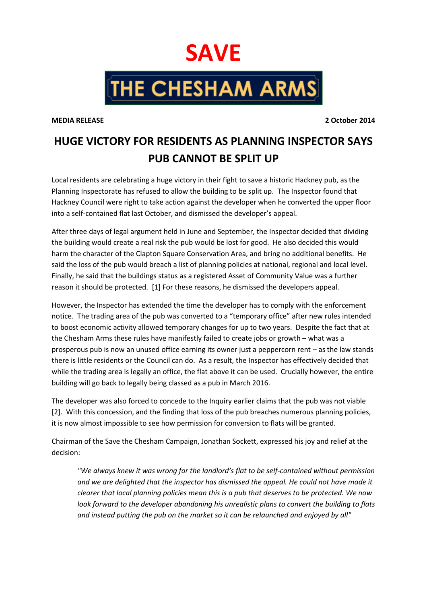## **SAVE**

**THE CHESHAM ARMS** 

**MEDIA RELEASE 2 October 2014**

## **HUGE VICTORY FOR RESIDENTS AS PLANNING INSPECTOR SAYS PUB CANNOT BE SPLIT UP**

Local residents are celebrating a huge victory in their fight to save a historic Hackney pub, as the Planning Inspectorate has refused to allow the building to be split up. The Inspector found that Hackney Council were right to take action against the developer when he converted the upper floor into a self-contained flat last October, and dismissed the developer's appeal.

After three days of legal argument held in June and September, the Inspector decided that dividing the building would create a real risk the pub would be lost for good. He also decided this would harm the character of the Clapton Square Conservation Area, and bring no additional benefits. He said the loss of the pub would breach a list of planning policies at national, regional and local level. Finally, he said that the buildings status as a registered Asset of Community Value was a further reason it should be protected. [1] For these reasons, he dismissed the developers appeal.

However, the Inspector has extended the time the developer has to comply with the enforcement notice. The trading area of the pub was converted to a "temporary office" after new rules intended to boost economic activity allowed temporary changes for up to two years. Despite the fact that at the Chesham Arms these rules have manifestly failed to create jobs or growth – what was a prosperous pub is now an unused office earning its owner just a peppercorn rent – as the law stands there is little residents or the Council can do. As a result, the Inspector has effectively decided that while the trading area is legally an office, the flat above it can be used. Crucially however, the entire building will go back to legally being classed as a pub in March 2016.

The developer was also forced to concede to the Inquiry earlier claims that the pub was not viable [2]. With this concession, and the finding that loss of the pub breaches numerous planning policies, it is now almost impossible to see how permission for conversion to flats will be granted.

Chairman of the Save the Chesham Campaign, Jonathan Sockett, expressed his joy and relief at the decision:

*"We always knew it was wrong for the landlord's flat to be self-contained without permission and we are delighted that the inspector has dismissed the appeal. He could not have made it clearer that local planning policies mean this is a pub that deserves to be protected. We now look forward to the developer abandoning his unrealistic plans to convert the building to flats and instead putting the pub on the market so it can be relaunched and enjoyed by all"*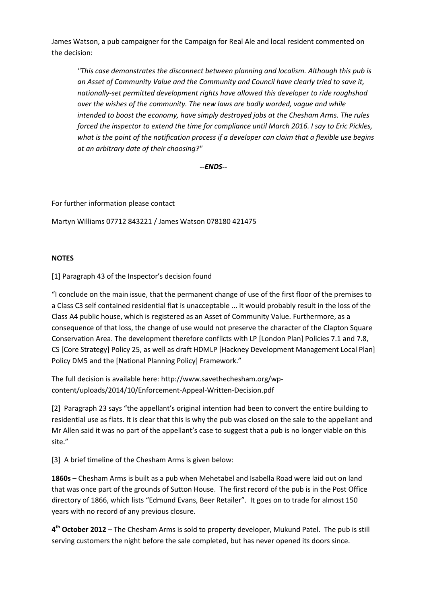James Watson, a pub campaigner for the Campaign for Real Ale and local resident commented on the decision:

*"This case demonstrates the disconnect between planning and localism. Although this pub is an Asset of Community Value and the Community and Council have clearly tried to save it, nationally-set permitted development rights have allowed this developer to ride roughshod over the wishes of the community. The new laws are badly worded, vague and while intended to boost the economy, have simply destroyed jobs at the Chesham Arms. The rules forced the inspector to extend the time for compliance until March 2016. I say to Eric Pickles, what is the point of the notification process if a developer can claim that a flexible use begins at an arbitrary date of their choosing?"*

*--ENDS--*

For further information please contact

Martyn Williams 07712 843221 / James Watson 078180 421475

## **NOTES**

[1] Paragraph 43 of the Inspector's decision found

"I conclude on the main issue, that the permanent change of use of the first floor of the premises to a Class C3 self contained residential flat is unacceptable ... it would probably result in the loss of the Class A4 public house, which is registered as an Asset of Community Value. Furthermore, as a consequence of that loss, the change of use would not preserve the character of the Clapton Square Conservation Area. The development therefore conflicts with LP [London Plan] Policies 7.1 and 7.8, CS [Core Strategy] Policy 25, as well as draft HDMLP [Hackney Development Management Local Plan] Policy DM5 and the [National Planning Policy] Framework."

The full decision is available here: http://www.savethechesham.org/wpcontent/uploads/2014/10/Enforcement-Appeal-Written-Decision.pdf

[2] Paragraph 23 says "the appellant's original intention had been to convert the entire building to residential use as flats. It is clear that this is why the pub was closed on the sale to the appellant and Mr Allen said it was no part of the appellant's case to suggest that a pub is no longer viable on this site."

[3] A brief timeline of the Chesham Arms is given below:

**1860s** – Chesham Arms is built as a pub when Mehetabel and Isabella Road were laid out on land that was once part of the grounds of Sutton House. The first record of the pub is in the Post Office directory of 1866, which lists "Edmund Evans, Beer Retailer". It goes on to trade for almost 150 years with no record of any previous closure.

**4 th October 2012** – The Chesham Arms is sold to property developer, Mukund Patel. The pub is still serving customers the night before the sale completed, but has never opened its doors since.